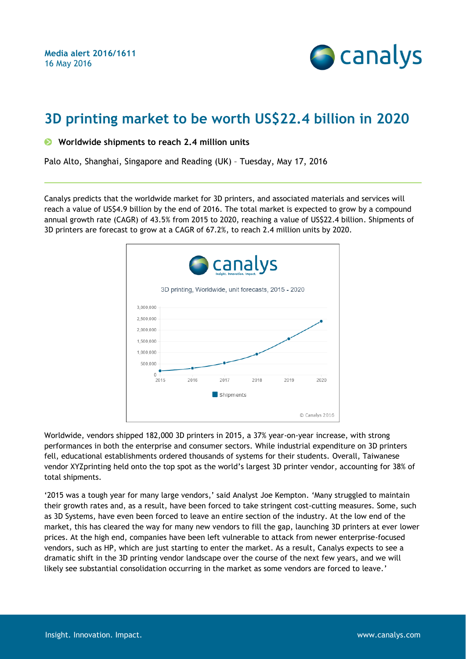**Media alert 2016/1611** 16 May 2016



# **3D printing market to be worth US\$22.4 billion in 2020**

#### **Worldwide shipments to reach 2.4 million units**

Palo Alto, Shanghai, Singapore and Reading (UK) – Tuesday, May 17, 2016

Canalys predicts that the worldwide market for 3D printers, and associated materials and services will reach a value of US\$4.9 billion by the end of 2016. The total market is expected to grow by a compound annual growth rate (CAGR) of 43.5% from 2015 to 2020, reaching a value of US\$22.4 billion. Shipments of 3D printers are forecast to grow at a CAGR of 67.2%, to reach 2.4 million units by 2020.



Worldwide, vendors shipped 182,000 3D printers in 2015, a 37% year-on-year increase, with strong performances in both the enterprise and consumer sectors. While industrial expenditure on 3D printers fell, educational establishments ordered thousands of systems for their students. Overall, Taiwanese vendor XYZprinting held onto the top spot as the world's largest 3D printer vendor, accounting for 38% of total shipments.

'2015 was a tough year for many large vendors,' said Analyst Joe Kempton. 'Many struggled to maintain their growth rates and, as a result, have been forced to take stringent cost-cutting measures. Some, such as 3D Systems, have even been forced to leave an entire section of the industry. At the low end of the market, this has cleared the way for many new vendors to fill the gap, launching 3D printers at ever lower prices. At the high end, companies have been left vulnerable to attack from newer enterprise-focused vendors, such as HP, which are just starting to enter the market. As a result, Canalys expects to see a dramatic shift in the 3D printing vendor landscape over the course of the next few years, and we will likely see substantial consolidation occurring in the market as some vendors are forced to leave.'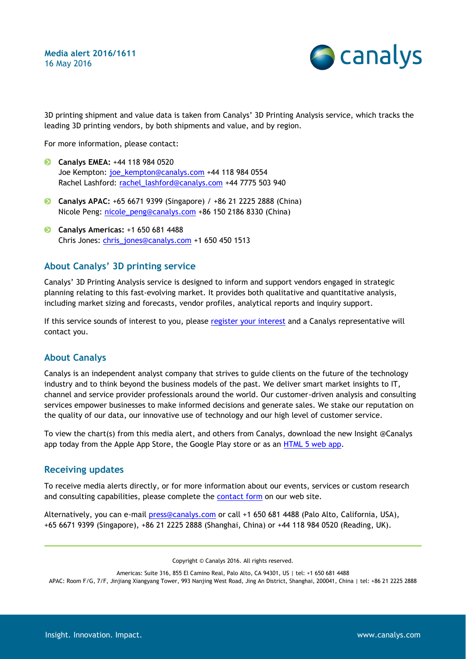

3D printing shipment and value data is taken from Canalys' 3D Printing Analysis service, which tracks the leading 3D printing vendors, by both shipments and value, and by region.

For more information, please contact:

- **Canalys EMEA:** +44 118 984 0520 Joe Kempton: [joe\\_kempton@canalys.com](mailto:joe_kempton@canalys.com) +44 118 984 0554 Rachel Lashford: [rachel\\_lashford@canalys.com](mailto:rachel_lashford@canalys.com) +44 7775 503 940
- **Canalys APAC:** +65 6671 9399 (Singapore) / +86 21 2225 2888 (China) Nicole Peng: [nicole\\_peng@canalys.com](mailto:nicole_peng@canalys.com) +86 150 2186 8330 (China)
- **Canalys Americas:** +1 650 681 4488 Chris Jones: [chris\\_jones@canalys.com](mailto:chris_jones@canalys.com) +1 650 450 1513

# **About Canalys' 3D printing service**

Canalys' 3D Printing Analysis service is designed to inform and support vendors engaged in strategic planning relating to this fast-evolving market. It provides both qualitative and quantitative analysis, including market sizing and forecasts, vendor profiles, analytical reports and inquiry support.

If this service sounds of interest to you, please [register your interest](http://www.canalys.com/content/canalys-new-3d-printing-service) and a Canalys representative will contact you.

## **About Canalys**

Canalys is an independent analyst company that strives to guide clients on the future of the technology industry and to think beyond the business models of the past. We deliver smart market insights to IT, channel and service provider professionals around the world. Our customer-driven analysis and consulting services empower businesses to make informed decisions and generate sales. We stake our reputation on the quality of our data, our innovative use of technology and our high level of customer service.

To view the chart(s) from this media alert, and others from Canalys, download the new Insight @Canalys app today from the Apple App Store, the Google Play store or as an [HTML 5 web app.](http://www.canalys.com/chart)

## **Receiving updates**

To receive media alerts directly, or for more information about our events, services or custom research and consulting capabilities, please complete the [contact form](http://www.canalys.com/contact) on our web site.

Alternatively, you can e-mail [press@canalys.com](mailto:press@canalys.com) or call +1 650 681 4488 (Palo Alto, California, USA), +65 6671 9399 (Singapore), +86 21 2225 2888 (Shanghai, China) or +44 118 984 0520 (Reading, UK).

Copyright © Canalys 2016. All rights reserved.

Americas: Suite 316, 855 El Camino Real, Palo Alto, CA 94301, US | tel: +1 650 681 4488

APAC: Room F/G, 7/F, Jinjiang Xiangyang Tower, 993 Nanjing West Road, Jing An District, Shanghai, 200041, China | tel: +86 21 2225 2888